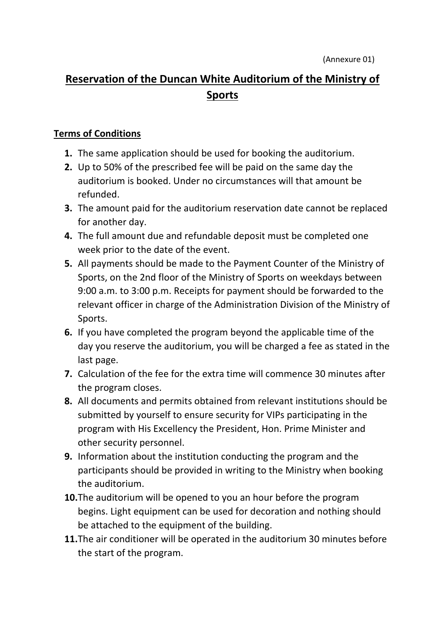## **Reservation of the Duncan White Auditorium of the Ministry of Sports**

## **Terms of Conditions**

- **1.** The same application should be used for booking the auditorium.
- **2.** Up to 50% of the prescribed fee will be paid on the same day the auditorium is booked. Under no circumstances will that amount be refunded.
- **3.** The amount paid for the auditorium reservation date cannot be replaced for another day.
- **4.** The full amount due and refundable deposit must be completed one week prior to the date of the event.
- **5.** All payments should be made to the Payment Counter of the Ministry of Sports, on the 2nd floor of the Ministry of Sports on weekdays between 9:00 a.m. to 3:00 p.m. Receipts for payment should be forwarded to the relevant officer in charge of the Administration Division of the Ministry of Sports.
- **6.** If you have completed the program beyond the applicable time of the day you reserve the auditorium, you will be charged a fee as stated in the last page.
- **7.** Calculation of the fee for the extra time will commence 30 minutes after the program closes.
- **8.** All documents and permits obtained from relevant institutions should be submitted by yourself to ensure security for VIPs participating in the program with His Excellency the President, Hon. Prime Minister and other security personnel.
- **9.** Information about the institution conducting the program and the participants should be provided in writing to the Ministry when booking the auditorium.
- **10.**The auditorium will be opened to you an hour before the program begins. Light equipment can be used for decoration and nothing should be attached to the equipment of the building.
- **11.**The air conditioner will be operated in the auditorium 30 minutes before the start of the program.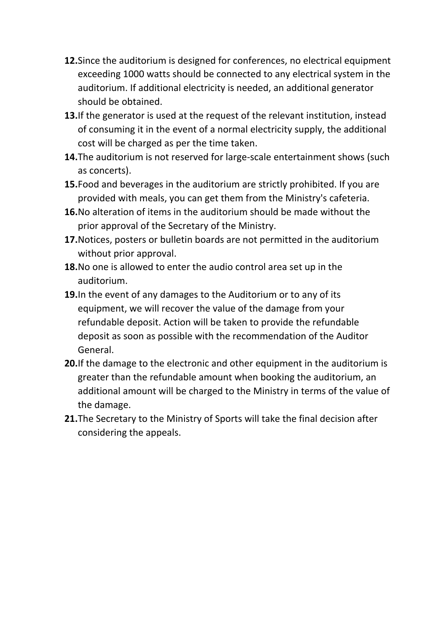- **12.**Since the auditorium is designed for conferences, no electrical equipment exceeding 1000 watts should be connected to any electrical system in the auditorium. If additional electricity is needed, an additional generator should be obtained.
- **13.**If the generator is used at the request of the relevant institution, instead of consuming it in the event of a normal electricity supply, the additional cost will be charged as per the time taken.
- **14.**The auditorium is not reserved for large-scale entertainment shows (such as concerts).
- **15.**Food and beverages in the auditorium are strictly prohibited. If you are provided with meals, you can get them from the Ministry's cafeteria.
- **16.**No alteration of items in the auditorium should be made without the prior approval of the Secretary of the Ministry.
- **17.**Notices, posters or bulletin boards are not permitted in the auditorium without prior approval.
- **18.**No one is allowed to enter the audio control area set up in the auditorium.
- **19.**In the event of any damages to the Auditorium or to any of its equipment, we will recover the value of the damage from your refundable deposit. Action will be taken to provide the refundable deposit as soon as possible with the recommendation of the Auditor General.
- **20.**If the damage to the electronic and other equipment in the auditorium is greater than the refundable amount when booking the auditorium, an additional amount will be charged to the Ministry in terms of the value of the damage.
- **21.**The Secretary to the Ministry of Sports will take the final decision after considering the appeals.